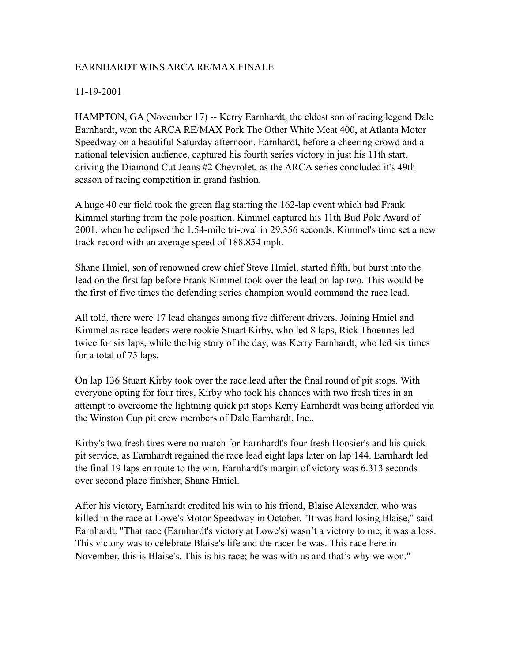#### EARNHARDT WINS ARCA RE/MAX FINALE

#### 11-19-2001

HAMPTON, GA (November 17) -- Kerry Earnhardt, the eldest son of racing legend Dale Earnhardt, won the ARCA RE/MAX Pork The Other White Meat 400, at Atlanta Motor Speedway on a beautiful Saturday afternoon. Earnhardt, before a cheering crowd and a national television audience, captured his fourth series victory in just his 11th start, driving the Diamond Cut Jeans #2 Chevrolet, as the ARCA series concluded it's 49th season of racing competition in grand fashion.

A huge 40 car field took the green flag starting the 162-lap event which had Frank Kimmel starting from the pole position. Kimmel captured his 11th Bud Pole Award of 2001, when he eclipsed the 1.54-mile tri-oval in 29.356 seconds. Kimmel's time set a new track record with an average speed of 188.854 mph.

Shane Hmiel, son of renowned crew chief Steve Hmiel, started fifth, but burst into the lead on the first lap before Frank Kimmel took over the lead on lap two. This would be the first of five times the defending series champion would command the race lead.

All told, there were 17 lead changes among five different drivers. Joining Hmiel and Kimmel as race leaders were rookie Stuart Kirby, who led 8 laps, Rick Thoennes led twice for six laps, while the big story of the day, was Kerry Earnhardt, who led six times for a total of 75 laps.

On lap 136 Stuart Kirby took over the race lead after the final round of pit stops. With everyone opting for four tires, Kirby who took his chances with two fresh tires in an attempt to overcome the lightning quick pit stops Kerry Earnhardt was being afforded via the Winston Cup pit crew members of Dale Earnhardt, Inc..

Kirby's two fresh tires were no match for Earnhardt's four fresh Hoosier's and his quick pit service, as Earnhardt regained the race lead eight laps later on lap 144. Earnhardt led the final 19 laps en route to the win. Earnhardt's margin of victory was 6.313 seconds over second place finisher, Shane Hmiel.

After his victory, Earnhardt credited his win to his friend, Blaise Alexander, who was killed in the race at Lowe's Motor Speedway in October. "It was hard losing Blaise," said Earnhardt. "That race (Earnhardt's victory at Lowe's) wasn't a victory to me; it was a loss. This victory was to celebrate Blaise's life and the racer he was. This race here in November, this is Blaise's. This is his race; he was with us and that's why we won."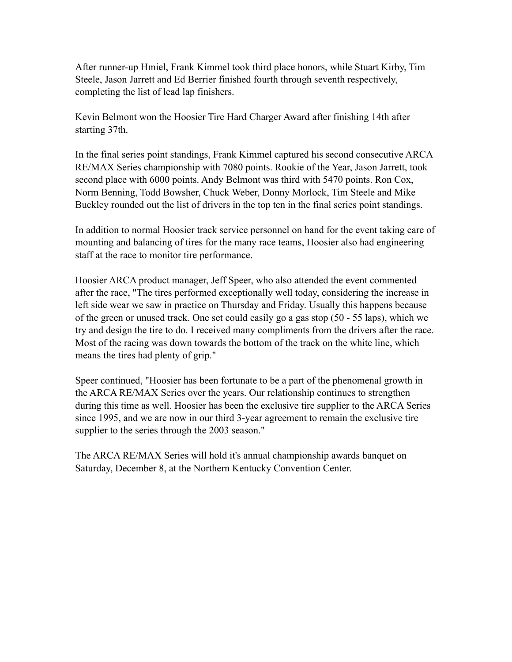After runner-up Hmiel, Frank Kimmel took third place honors, while Stuart Kirby, Tim Steele, Jason Jarrett and Ed Berrier finished fourth through seventh respectively, completing the list of lead lap finishers.

Kevin Belmont won the Hoosier Tire Hard Charger Award after finishing 14th after starting 37th.

In the final series point standings, Frank Kimmel captured his second consecutive ARCA RE/MAX Series championship with 7080 points. Rookie of the Year, Jason Jarrett, took second place with 6000 points. Andy Belmont was third with 5470 points. Ron Cox, Norm Benning, Todd Bowsher, Chuck Weber, Donny Morlock, Tim Steele and Mike Buckley rounded out the list of drivers in the top ten in the final series point standings.

In addition to normal Hoosier track service personnel on hand for the event taking care of mounting and balancing of tires for the many race teams, Hoosier also had engineering staff at the race to monitor tire performance.

Hoosier ARCA product manager, Jeff Speer, who also attended the event commented after the race, "The tires performed exceptionally well today, considering the increase in left side wear we saw in practice on Thursday and Friday. Usually this happens because of the green or unused track. One set could easily go a gas stop (50 - 55 laps), which we try and design the tire to do. I received many compliments from the drivers after the race. Most of the racing was down towards the bottom of the track on the white line, which means the tires had plenty of grip."

Speer continued, "Hoosier has been fortunate to be a part of the phenomenal growth in the ARCA RE/MAX Series over the years. Our relationship continues to strengthen during this time as well. Hoosier has been the exclusive tire supplier to the ARCA Series since 1995, and we are now in our third 3-year agreement to remain the exclusive tire supplier to the series through the 2003 season."

The ARCA RE/MAX Series will hold it's annual championship awards banquet on Saturday, December 8, at the Northern Kentucky Convention Center.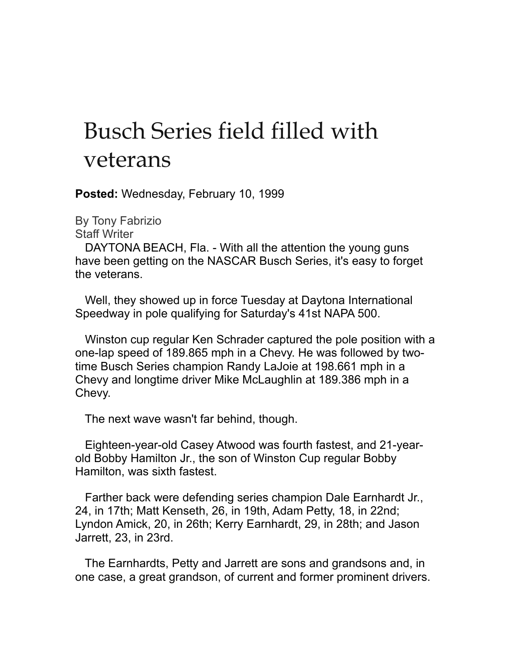## Busch Series field filled with veterans

**Posted:** Wednesday, February 10, 1999

By Tony Fabrizio Staff Writer

 DAYTONA BEACH, Fla. - With all the attention the young guns have been getting on the NASCAR Busch Series, it's easy to forget the veterans.

 Well, they showed up in force Tuesday at Daytona International Speedway in pole qualifying for Saturday's 41st NAPA 500.

 Winston cup regular Ken Schrader captured the pole position with a one-lap speed of 189.865 mph in a Chevy. He was followed by twotime Busch Series champion Randy LaJoie at 198.661 mph in a Chevy and longtime driver Mike McLaughlin at 189.386 mph in a Chevy.

The next wave wasn't far behind, though.

 Eighteen-year-old Casey Atwood was fourth fastest, and 21-yearold Bobby Hamilton Jr., the son of Winston Cup regular Bobby Hamilton, was sixth fastest.

 Farther back were defending series champion Dale Earnhardt Jr., 24, in 17th; Matt Kenseth, 26, in 19th, Adam Petty, 18, in 22nd; Lyndon Amick, 20, in 26th; Kerry Earnhardt, 29, in 28th; and Jason Jarrett, 23, in 23rd.

 The Earnhardts, Petty and Jarrett are sons and grandsons and, in one case, a great grandson, of current and former prominent drivers.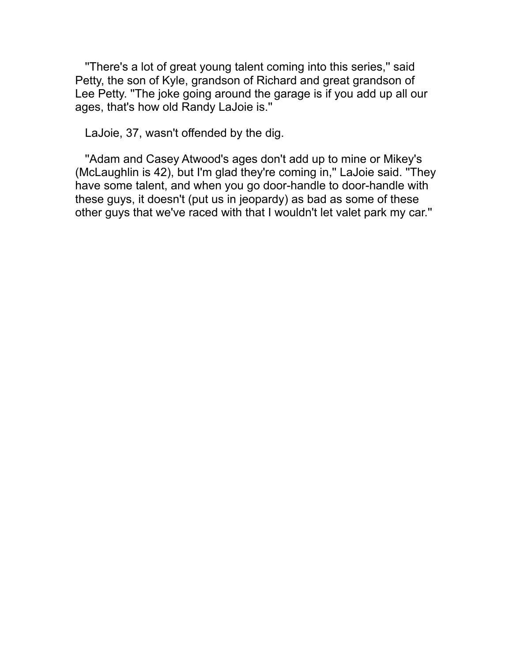''There's a lot of great young talent coming into this series,'' said Petty, the son of Kyle, grandson of Richard and great grandson of Lee Petty. ''The joke going around the garage is if you add up all our ages, that's how old Randy LaJoie is.''

LaJoie, 37, wasn't offended by the dig.

 ''Adam and Casey Atwood's ages don't add up to mine or Mikey's (McLaughlin is 42), but I'm glad they're coming in,'' LaJoie said. ''They have some talent, and when you go door-handle to door-handle with these guys, it doesn't (put us in jeopardy) as bad as some of these other guys that we've raced with that I wouldn't let valet park my car.''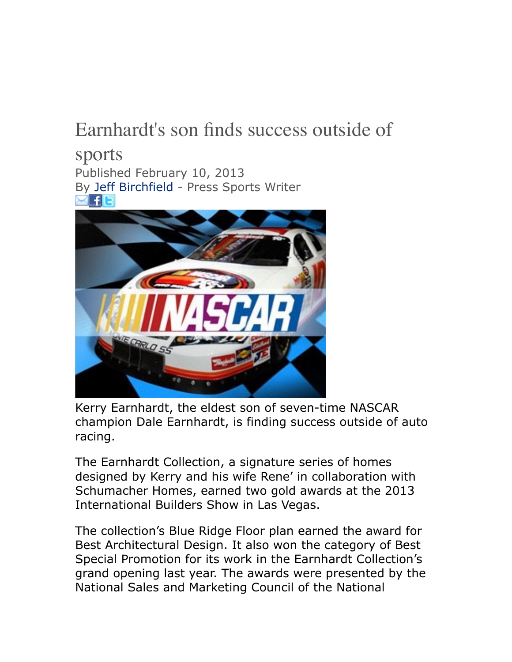### Earnhardt's son finds success outside of

sports Published February 10, 2013 By [Jeff Birchfield](mailto:jbirchfield@johnsoncitypress.com) - Press Sports Writer **×FE** 



Kerry Earnhardt, the eldest son of seven-time NASCAR champion Dale Earnhardt, is finding success outside of auto racing.

The Earnhardt Collection, a signature series of homes designed by Kerry and his wife Rene' in collaboration with Schumacher Homes, earned two gold awards at the 2013 International Builders Show in Las Vegas.

The collection's Blue Ridge Floor plan earned the award for Best Architectural Design. It also won the category of Best Special Promotion for its work in the Earnhardt Collection's grand opening last year. The awards were presented by the National Sales and Marketing Council of the National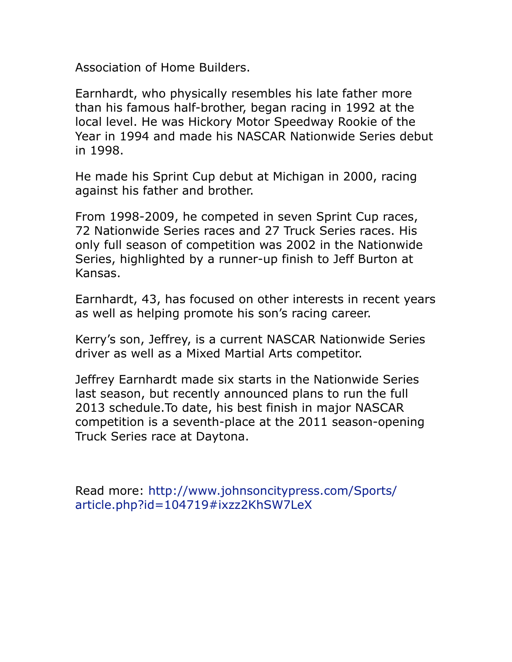Association of Home Builders.

Earnhardt, who physically resembles his late father more than his famous half-brother, began racing in 1992 at the local level. He was Hickory Motor Speedway Rookie of the Year in 1994 and made his NASCAR Nationwide Series debut in 1998.

He made his Sprint Cup debut at Michigan in 2000, racing against his father and brother.

From 1998-2009, he competed in seven Sprint Cup races, 72 Nationwide Series races and 27 Truck Series races. His only full season of competition was 2002 in the Nationwide Series, highlighted by a runner-up finish to Jeff Burton at Kansas.

Earnhardt, 43, has focused on other interests in recent years as well as helping promote his son's racing career.

Kerry's son, Jeffrey, is a current NASCAR Nationwide Series driver as well as a Mixed Martial Arts competitor.

Jeffrey Earnhardt made six starts in the Nationwide Series last season, but recently announced plans to run the full 2013 schedule.To date, his best finish in major NASCAR competition is a seventh-place at the 2011 season-opening Truck Series race at Daytona.

[Read more: http://www.johnsoncitypress.com/Sports/](http://www.johnsoncitypress.com/Sports/article.php?id=104719%23ixzz2KhSW7LeX) article.php?id=104719#ixzz2KhSW7LeX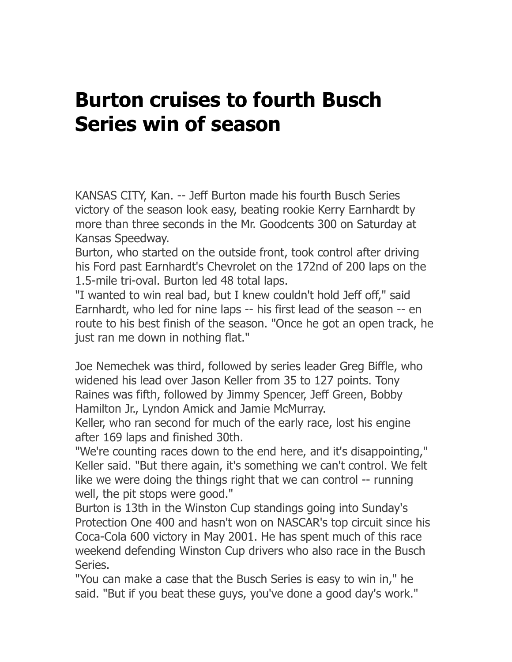### **Burton cruises to fourth Busch Series win of season**

KANSAS CITY, Kan. -- Jeff Burton made his fourth Busch Series victory of the season look easy, beating rookie Kerry Earnhardt by more than three seconds in the Mr. Goodcents 300 on Saturday at Kansas Speedway.

Burton, who started on the outside front, took control after driving his Ford past Earnhardt's Chevrolet on the 172nd of 200 laps on the 1.5-mile tri-oval. Burton led 48 total laps.

"I wanted to win real bad, but I knew couldn't hold Jeff off," said Earnhardt, who led for nine laps -- his first lead of the season -- en route to his best finish of the season. "Once he got an open track, he just ran me down in nothing flat."

Joe Nemechek was third, followed by series leader Greg Biffle, who widened his lead over Jason Keller from 35 to 127 points. Tony Raines was fifth, followed by Jimmy Spencer, Jeff Green, Bobby Hamilton Jr., Lyndon Amick and Jamie McMurray.

Keller, who ran second for much of the early race, lost his engine after 169 laps and finished 30th.

"We're counting races down to the end here, and it's disappointing," Keller said. "But there again, it's something we can't control. We felt like we were doing the things right that we can control -- running well, the pit stops were good."

Burton is 13th in the Winston Cup standings going into Sunday's Protection One 400 and hasn't won on NASCAR's top circuit since his Coca-Cola 600 victory in May 2001. He has spent much of this race weekend defending Winston Cup drivers who also race in the Busch Series.

"You can make a case that the Busch Series is easy to win in," he said. "But if you beat these guys, you've done a good day's work."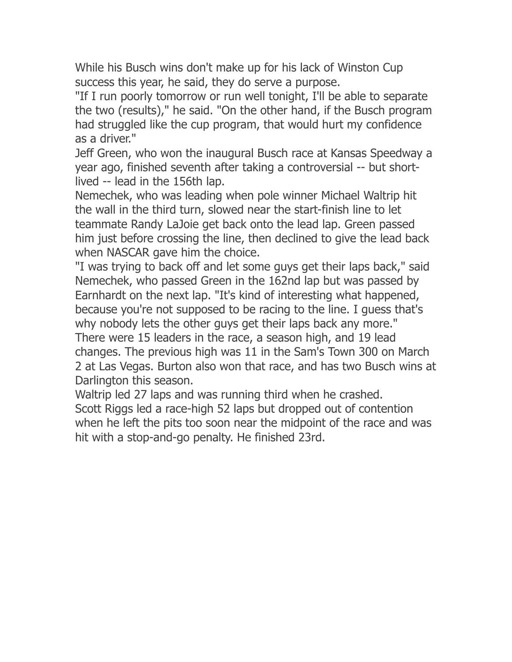While his Busch wins don't make up for his lack of Winston Cup success this year, he said, they do serve a purpose.

"If I run poorly tomorrow or run well tonight, I'll be able to separate the two (results)," he said. "On the other hand, if the Busch program had struggled like the cup program, that would hurt my confidence as a driver."

Jeff Green, who won the inaugural Busch race at Kansas Speedway a year ago, finished seventh after taking a controversial -- but shortlived -- lead in the 156th lap.

Nemechek, who was leading when pole winner Michael Waltrip hit the wall in the third turn, slowed near the start-finish line to let teammate Randy LaJoie get back onto the lead lap. Green passed him just before crossing the line, then declined to give the lead back when NASCAR gave him the choice.

"I was trying to back off and let some guys get their laps back," said Nemechek, who passed Green in the 162nd lap but was passed by Earnhardt on the next lap. "It's kind of interesting what happened, because you're not supposed to be racing to the line. I guess that's why nobody lets the other guys get their laps back any more." There were 15 leaders in the race, a season high, and 19 lead changes. The previous high was 11 in the Sam's Town 300 on March 2 at Las Vegas. Burton also won that race, and has two Busch wins at Darlington this season.

Waltrip led 27 laps and was running third when he crashed. Scott Riggs led a race-high 52 laps but dropped out of contention

when he left the pits too soon near the midpoint of the race and was hit with a stop-and-go penalty. He finished 23rd.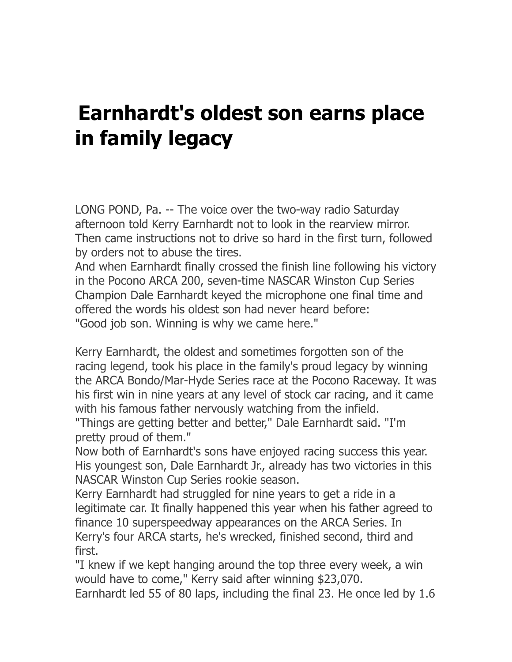## **Earnhardt's oldest son earns place in family legacy**

LONG POND, Pa. -- The voice over the two-way radio Saturday afternoon told Kerry Earnhardt not to look in the rearview mirror. Then came instructions not to drive so hard in the first turn, followed by orders not to abuse the tires.

And when Earnhardt finally crossed the finish line following his victory in the Pocono ARCA 200, seven-time NASCAR Winston Cup Series Champion Dale Earnhardt keyed the microphone one final time and offered the words his oldest son had never heard before: "Good job son. Winning is why we came here."

Kerry Earnhardt, the oldest and sometimes forgotten son of the racing legend, took his place in the family's proud legacy by winning the ARCA Bondo/Mar-Hyde Series race at the Pocono Raceway. It was his first win in nine years at any level of stock car racing, and it came with his famous father nervously watching from the infield.

"Things are getting better and better," Dale Earnhardt said. "I'm pretty proud of them."

Now both of Earnhardt's sons have enjoyed racing success this year. His youngest son, Dale Earnhardt Jr., already has two victories in this NASCAR Winston Cup Series rookie season.

Kerry Earnhardt had struggled for nine years to get a ride in a legitimate car. It finally happened this year when his father agreed to finance 10 superspeedway appearances on the ARCA Series. In Kerry's four ARCA starts, he's wrecked, finished second, third and first.

"I knew if we kept hanging around the top three every week, a win would have to come," Kerry said after winning \$23,070.

Earnhardt led 55 of 80 laps, including the final 23. He once led by 1.6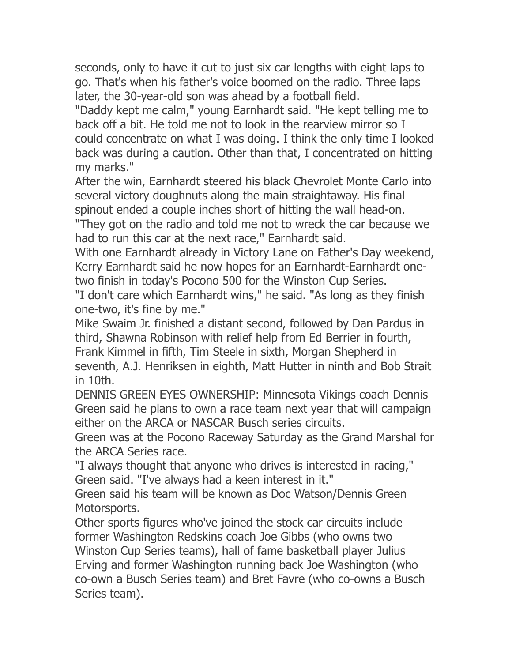seconds, only to have it cut to just six car lengths with eight laps to go. That's when his father's voice boomed on the radio. Three laps later, the 30-year-old son was ahead by a football field.

"Daddy kept me calm," young Earnhardt said. "He kept telling me to back off a bit. He told me not to look in the rearview mirror so I could concentrate on what I was doing. I think the only time I looked back was during a caution. Other than that, I concentrated on hitting my marks."

After the win, Earnhardt steered his black Chevrolet Monte Carlo into several victory doughnuts along the main straightaway. His final spinout ended a couple inches short of hitting the wall head-on.

"They got on the radio and told me not to wreck the car because we had to run this car at the next race," Earnhardt said.

With one Earnhardt already in Victory Lane on Father's Day weekend, Kerry Earnhardt said he now hopes for an Earnhardt-Earnhardt onetwo finish in today's Pocono 500 for the Winston Cup Series.

"I don't care which Earnhardt wins," he said. "As long as they finish one-two, it's fine by me."

Mike Swaim Jr. finished a distant second, followed by Dan Pardus in third, Shawna Robinson with relief help from Ed Berrier in fourth, Frank Kimmel in fifth, Tim Steele in sixth, Morgan Shepherd in seventh, A.J. Henriksen in eighth, Matt Hutter in ninth and Bob Strait in 10th.

DENNIS GREEN EYES OWNERSHIP: Minnesota Vikings coach Dennis Green said he plans to own a race team next year that will campaign either on the ARCA or NASCAR Busch series circuits.

Green was at the Pocono Raceway Saturday as the Grand Marshal for the ARCA Series race.

"I always thought that anyone who drives is interested in racing," Green said. "I've always had a keen interest in it."

Green said his team will be known as Doc Watson/Dennis Green Motorsports.

Other sports figures who've joined the stock car circuits include former Washington Redskins coach Joe Gibbs (who owns two Winston Cup Series teams), hall of fame basketball player Julius Erving and former Washington running back Joe Washington (who co-own a Busch Series team) and Bret Favre (who co-owns a Busch Series team).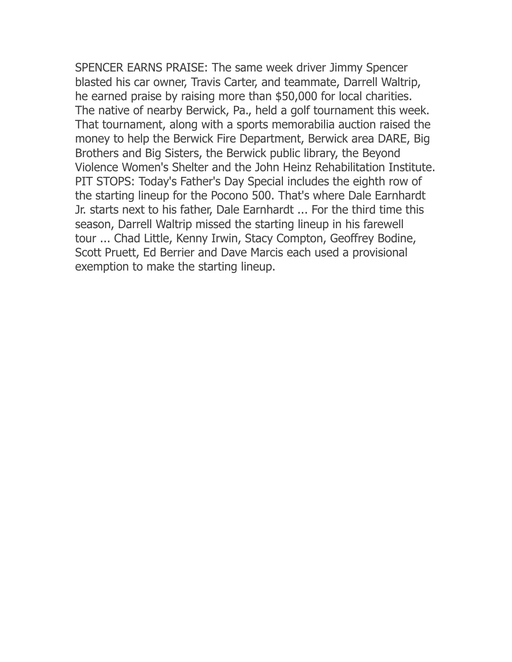SPENCER EARNS PRAISE: The same week driver Jimmy Spencer blasted his car owner, Travis Carter, and teammate, Darrell Waltrip, he earned praise by raising more than \$50,000 for local charities. The native of nearby Berwick, Pa., held a golf tournament this week. That tournament, along with a sports memorabilia auction raised the money to help the Berwick Fire Department, Berwick area DARE, Big Brothers and Big Sisters, the Berwick public library, the Beyond Violence Women's Shelter and the John Heinz Rehabilitation Institute. PIT STOPS: Today's Father's Day Special includes the eighth row of the starting lineup for the Pocono 500. That's where Dale Earnhardt Jr. starts next to his father, Dale Earnhardt ... For the third time this season, Darrell Waltrip missed the starting lineup in his farewell tour ... Chad Little, Kenny Irwin, Stacy Compton, Geoffrey Bodine, Scott Pruett, Ed Berrier and Dave Marcis each used a provisional exemption to make the starting lineup.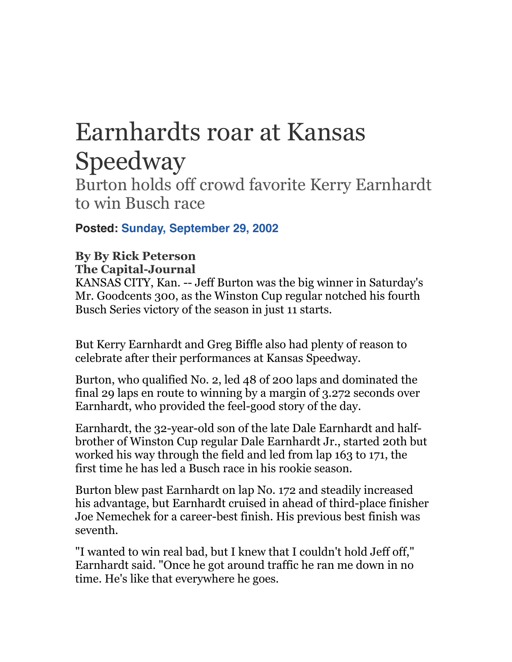# Earnhardts roar at Kansas Speedway

Burton holds off crowd favorite Kerry Earnhardt to win Busch race

**Posted: Sunday, September 29, 2002**

#### **By By Rick Peterson The Capital-Journal**

KANSAS CITY, Kan. -- Jeff Burton was the big winner in Saturday's Mr. Goodcents 300, as the Winston Cup regular notched his fourth Busch Series victory of the season in just 11 starts.

But Kerry Earnhardt and Greg Biffle also had plenty of reason to celebrate after their performances at Kansas Speedway.

Burton, who qualified No. 2, led 48 of 200 laps and dominated the final 29 laps en route to winning by a margin of 3.272 seconds over Earnhardt, who provided the feel-good story of the day.

Earnhardt, the 32-year-old son of the late Dale Earnhardt and halfbrother of Winston Cup regular Dale Earnhardt Jr., started 20th but worked his way through the field and led from lap 163 to 171, the first time he has led a Busch race in his rookie season.

Burton blew past Earnhardt on lap No. 172 and steadily increased his advantage, but Earnhardt cruised in ahead of third-place finisher Joe Nemechek for a career-best finish. His previous best finish was seventh.

"I wanted to win real bad, but I knew that I couldn't hold Jeff off," Earnhardt said. "Once he got around traffic he ran me down in no time. He's like that everywhere he goes.